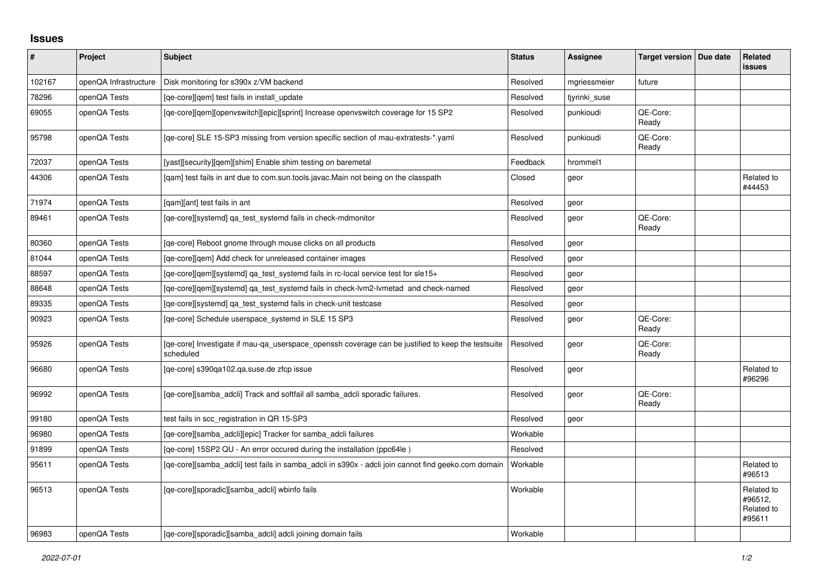## **Issues**

| $\pmb{\#}$ | Project               | <b>Subject</b>                                                                                                 | <b>Status</b> | Assignee      | <b>Target version</b> | Due date | <b>Related</b><br><b>issues</b>               |
|------------|-----------------------|----------------------------------------------------------------------------------------------------------------|---------------|---------------|-----------------------|----------|-----------------------------------------------|
| 102167     | openQA Infrastructure | Disk monitoring for s390x z/VM backend                                                                         | Resolved      | mgriessmeier  | future                |          |                                               |
| 78296      | openQA Tests          | [ge-core][gem] test fails in install update                                                                    | Resolved      | tjyrinki_suse |                       |          |                                               |
| 69055      | openQA Tests          | [qe-core][qem][openvswitch][epic][sprint] Increase openvswitch coverage for 15 SP2                             | Resolved      | punkioudi     | QE-Core:<br>Ready     |          |                                               |
| 95798      | openQA Tests          | [ge-core] SLE 15-SP3 missing from version specific section of mau-extratests-*.yaml                            | Resolved      | punkioudi     | QE-Core:<br>Ready     |          |                                               |
| 72037      | openQA Tests          | [yast][security][gem][shim] Enable shim testing on baremetal                                                   | Feedback      | hrommel1      |                       |          |                                               |
| 44306      | openQA Tests          | [gam] test fails in ant due to com.sun.tools.javac.Main not being on the classpath                             | Closed        | geor          |                       |          | Related to<br>#44453                          |
| 71974      | openQA Tests          | [gam][ant] test fails in ant                                                                                   | Resolved      | geor          |                       |          |                                               |
| 89461      | openQA Tests          | [qe-core][systemd] qa_test_systemd fails in check-mdmonitor                                                    | Resolved      | geor          | QE-Core:<br>Ready     |          |                                               |
| 80360      | openQA Tests          | [qe-core] Reboot gnome through mouse clicks on all products                                                    | Resolved      | geor          |                       |          |                                               |
| 81044      | openQA Tests          | [qe-core][qem] Add check for unreleased container images                                                       | Resolved      | geor          |                       |          |                                               |
| 88597      | openQA Tests          | [ge-core][gem][systemd] ga test systemd fails in rc-local service test for sle15+                              | Resolved      | geor          |                       |          |                                               |
| 88648      | openQA Tests          | [qe-core][qem][systemd] qa_test_systemd fails in check-lvm2-lvmetad and check-named                            | Resolved      | geor          |                       |          |                                               |
| 89335      | openQA Tests          | [qe-core][systemd] qa_test_systemd fails in check-unit testcase                                                | Resolved      | geor          |                       |          |                                               |
| 90923      | openQA Tests          | [qe-core] Schedule userspace_systemd in SLE 15 SP3                                                             | Resolved      | geor          | QE-Core:<br>Ready     |          |                                               |
| 95926      | openQA Tests          | [ge-core] Investigate if mau-ga userspace openssh coverage can be justified to keep the testsuite<br>scheduled | Resolved      | geor          | QE-Core:<br>Ready     |          |                                               |
| 96680      | openQA Tests          | [qe-core] s390qa102.qa.suse.de zfcp issue                                                                      | Resolved      | geor          |                       |          | Related to<br>#96296                          |
| 96992      | openQA Tests          | [ge-core][samba adcli] Track and softfail all samba adcli sporadic failures.                                   | Resolved      | geor          | QE-Core:<br>Ready     |          |                                               |
| 99180      | openQA Tests          | test fails in scc_registration in QR 15-SP3                                                                    | Resolved      | geor          |                       |          |                                               |
| 96980      | openQA Tests          | [qe-core][samba_adcli][epic] Tracker for samba_adcli failures                                                  | Workable      |               |                       |          |                                               |
| 91899      | openQA Tests          | [qe-core] 15SP2 QU - An error occured during the installation (ppc64le)                                        | Resolved      |               |                       |          |                                               |
| 95611      | openQA Tests          | [ge-core][samba adcli] test fails in samba adcli in s390x - adcli join cannot find geeko.com domain            | Workable      |               |                       |          | Related to<br>#96513                          |
| 96513      | openQA Tests          | [qe-core][sporadic][samba adcli] wbinfo fails                                                                  | Workable      |               |                       |          | Related to<br>#96512.<br>Related to<br>#95611 |
| 96983      | openQA Tests          | [qe-core][sporadic][samba adcli] adcli joining domain fails                                                    | Workable      |               |                       |          |                                               |